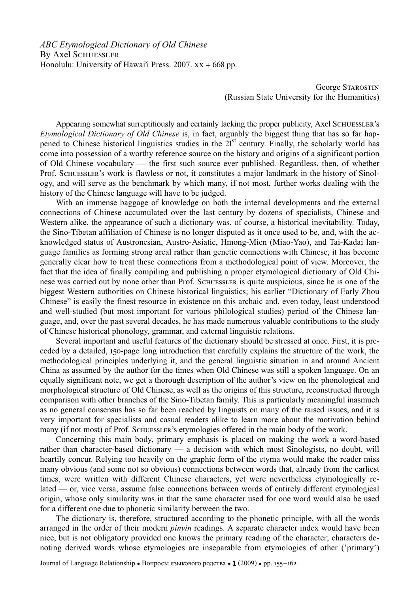ABC Etymological Dictionary of Old Chinese By Axel Schuessler Honolulu: University of Hawai'i Press. 2007.  $xx + 668$  pp.

> George STAROSTIN (Russian State University for the Humanities)

Appearing somewhat surreptitiously and certainly lacking the proper publicity, Axel SCHUESSLER's Etymological Dictionary of Old Chinese is, in fact, arguably the biggest thing that has so far happened to Chinese historical linguistics studies in the 21<sup>st</sup> century. Finally, the scholarly world has come into possession of a worthy reference source on the history and origins of a significant portion of Old Chinese vocabulary — the first such source ever published. Regardless, then, of whether Prof. Schuessler's work is flawless or not, it constitutes a major landmark in the history of Sinology, and will serve as the benchmark by which many, if not most, further works dealing with the history of the Chinese language will have to be judged.

With an immense baggage of knowledge on both the internal developments and the external connections of Chinese accumulated over the last century by dozens of specialists, Chinese and Western alike, the appearance of such a dictionary was, of course, a historical inevitability. Today, the Sino-Tibetan affiliation of Chinese is no longer disputed as it once used to be, and, with the acknowledged status of Austronesian, Austro-Asiatic, Hmong-Mien (Miao-Yao), and Tai-Kadai language families as forming strong areal rather than genetic connections with Chinese, it has become generally clear how to treat these connections from a methodological point of view. Moreover, the fact that the idea of finally compiling and publishing a proper etymological dictionary of Old Chinese was carried out by none other than Prof. Schuessler is quite auspicious, since he is one of the biggest Western authorities on Chinese historical linguistics; his earlier "Dictionary of Early Zhou Chinese" is easily the finest resource in existence on this archaic and, even today, least understood and well-studied (but most important for various philological studies) period of the Chinese language, and, over the past several decades, he has made numerous valuable contributions to the study of Chinese historical phonology, grammar, and external linguistic relations.

Several important and useful features of the dictionary should be stressed at once. First, it is preceded by a detailed, 150-page long introduction that carefully explains the structure of the work, the methodological principles underlying it, and the general linguistic situation in and around Ancient China as assumed by the author for the times when Old Chinese was still a spoken language. On an equally significant note, we get a thorough description of the author's view on the phonological and morphological structure of Old Chinese, as well as the origins of this structure, reconstructed through comparison with other branches of the Sino-Tibetan family. This is particularly meaningful inasmuch as no general consensus has so far been reached by linguists on many of the raised issues, and it is very important for specialists and casual readers alike to learn more about the motivation behind many (if not most) of Prof. SCHUESSLER's etymologies offered in the main body of the work.

Concerning this main body, primary emphasis is placed on making the work a word-based rather than character-based dictionary — a decision with which most Sinologists, no doubt, will heartily concur. Relying too heavily on the graphic form of the etyma would make the reader miss many obvious (and some not so obvious) connections between words that, already from the earliest times, were written with different Chinese characters, yet were nevertheless etymologically related — or, vice versa, assume false connections between words of entirely different etymological origin, whose only similarity was in that the same character used for one word would also be used for a different one due to phonetic similarity between the two.

The dictionary is, therefore, structured according to the phonetic principle, with all the words arranged in the order of their modern *pinyin* readings. A separate character index would have been nice, but is not obligatory provided one knows the primary reading of the character; characters denoting derived words whose etymologies are inseparable from etymologies of other ('primary')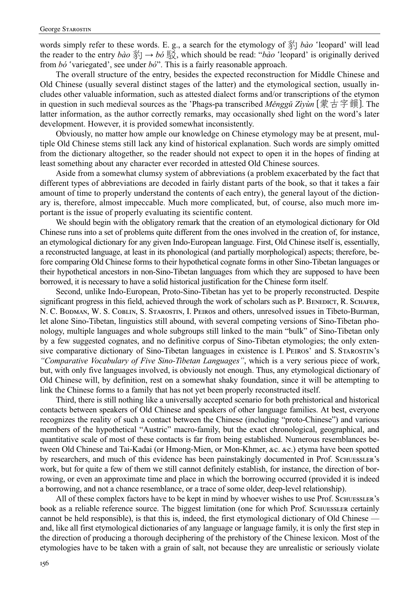words simply refer to these words. E. g., a search for the etymology of  $\frac{2}{3}$  bào 'leopard' will lead the reader to the entry  $b\dot{a}o \hat{z} \rightarrow b\dot{o} \hat{z} \hat{z}$ , which should be read: " $b\dot{a}o$  'leopard' is originally derived from bó 'variegated', see under bó". This is a fairly reasonable approach.

The overall structure of the entry, besides the expected reconstruction for Middle Chinese and Old Chinese (usually several distinct stages of the latter) and the etymological section, usually includes other valuable information, such as attested dialect forms and/or transcriptions of the etymon in question in such medieval sources as the 'Phags-pa transcribed *Měnggǔ Zìyùn* [蒙古字韻]. The latter information, as the author correctly remarks, may occasionally shed light on the word's later development. However, it is provided somewhat inconsistently.

Obviously, no matter how ample our knowledge on Chinese etymology may be at present, multiple Old Chinese stems still lack any kind of historical explanation. Such words are simply omitted from the dictionary altogether, so the reader should not expect to open it in the hopes of finding at least something about any character ever recorded in attested Old Chinese sources.

Aside from a somewhat clumsy system of abbreviations (a problem exacerbated by the fact that different types of abbreviations are decoded in fairly distant parts of the book, so that it takes a fair amount of time to properly understand the contents of each entry), the general layout of the dictionary is, therefore, almost impeccable. Much more complicated, but, of course, also much more important is the issue of properly evaluating its scientific content.

We should begin with the obligatory remark that the creation of an etymological dictionary for Old Chinese runs into a set of problems quite different from the ones involved in the creation of, for instance, an etymological dictionary for any given Indo-European language. First, Old Chinese itself is, essentially, a reconstructed language, at least in its phonological (and partially morphological) aspects; therefore, before comparing Old Chinese forms to their hypothetical cognate forms in other Sino-Tibetan languages or their hypothetical ancestors in non-Sino-Tibetan languages from which they are supposed to have been borrowed, it is necessary to have a solid historical justification for the Chinese form itself.

Second, unlike Indo-European, Proto-Sino-Tibetan has yet to be properly reconstructed. Despite significant progress in this field, achieved through the work of scholars such as P. BENEDICT, R. SCHAFER, N. C. BODMAN, W. S. COBLIN, S. STAROSTIN, I. PEIROS and others, unresolved issues in Tibeto-Burman, let alone Sino-Tibetan, linguistics still abound, with several competing versions of Sino-Tibetan phonology, multiple languages and whole subgroups still linked to the main "bulk" of Sino-Tibetan only by a few suggested cognates, and no definitive corpus of Sino-Tibetan etymologies; the only extensive comparative dictionary of Sino-Tibetan languages in existence is I. PEIROS' and S. STAROSTIN's "Comparative Vocabulary of Five Sino-Tibetan Languages", which is a very serious piece of work, but, with only five languages involved, is obviously not enough. Thus, any etymological dictionary of Old Chinese will, by definition, rest on a somewhat shaky foundation, since it will be attempting to link the Chinese forms to a family that has not yet been properly reconstructed itself.

Third, there is still nothing like a universally accepted scenario for both prehistorical and historical contacts between speakers of Old Chinese and speakers of other language families. At best, everyone recognizes the reality of such a contact between the Chinese (including "proto-Chinese") and various members of the hypothetical "Austric" macro-family, but the exact chronological, geographical, and quantitative scale of most of these contacts is far from being established. Numerous resemblances between Old Chinese and Tai-Kadai (or Hmong-Mien, or Mon-Khmer, ¤c. ¤c.) etyma have been spotted by researchers, and much of this evidence has been painstakingly documented in Prof. SCHUESSLER's work, but for quite a few of them we still cannot definitely establish, for instance, the direction of borrowing, or even an approximate time and place in which the borrowing occurred (provided it is indeed a borrowing, and not a chance resemblance, or a trace of some older, deep-level relationship).

All of these complex factors have to be kept in mind by whoever wishes to use Prof. SCHUESSLER's book as a reliable reference source. The biggest limitation (one for which Prof. Schuessler certainly cannot be held responsible), is that this is, indeed, the first etymological dictionary of Old Chinese and, like all first etymological dictionaries of any language or language family, it is only the first step in the direction of producing a thorough deciphering of the prehistory of the Chinese lexicon. Most of the etymologies have to be taken with a grain of salt, not because they are unrealistic or seriously violate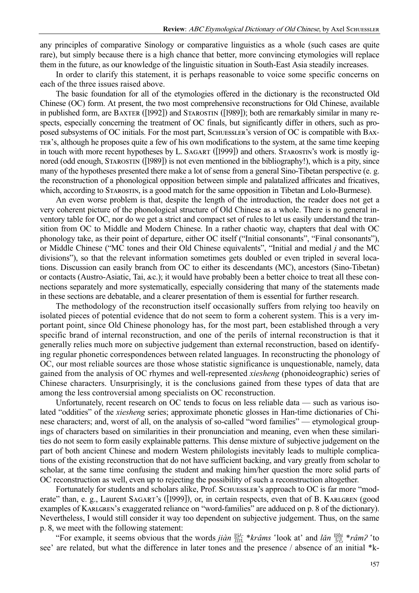any principles of comparative Sinology or comparative linguistics as a whole (such cases are quite rare), but simply because there is a high chance that better, more convincing etymologies will replace them in the future, as our knowledge of the linguistic situation in South-East Asia steadily increases.

In order to clarify this statement, it is perhaps reasonable to voice some specific concerns on each of the three issues raised above.

The basic foundation for all of the etymologies offered in the dictionary is the reconstructed Old Chinese (OC) form. At present, the two most comprehensive reconstructions for Old Chinese, available in published form, are BAXTER ([1992]) and STAROSTIN ([1989]); both are remarkably similar in many respects, especially concerning the treatment of OC finals, but significantly differ in others, such as proposed subsystems of OC initials. For the most part, Schuessler's version of OC is compatible with Baxter's, although he proposes quite a few of his own modifications to the system, at the same time keeping in touch with more recent hypotheses by L. SAGART ([1999]) and others. STAROSTIN's work is mostly ignored (odd enough, STAROSTIN ([1989]) is not even mentioned in the bibliography!), which is a pity, since many of the hypotheses presented there make a lot of sense from a general Sino-Tibetan perspective (e. g. the reconstruction of a phonological opposition between simple and palatalized affricates and fricatives, which, according to STAROSTIN, is a good match for the same opposition in Tibetan and Lolo-Burmese).

An even worse problem is that, despite the length of the introduction, the reader does not get a very coherent picture of the phonological structure of Old Chinese as a whole. There is no general inventory table for OC, nor do we get a strict and compact set of rules to let us easily understand the transition from OC to Middle and Modern Chinese. In a rather chaotic way, chapters that deal with OC phonology take, as their point of departure, either OC itself ("Initial consonants", "Final consonants"), or Middle Chinese ("MC tones and their Old Chinese equivalents", "Initial and medial j and the MC divisions"), so that the relevant information sometimes gets doubled or even tripled in several locations. Discussion can easily branch from OC to either its descendants (MC), ancestors (Sino-Tibetan) or contacts (Austro-Asiatic, Tai, &c.); it would have probably been a better choice to treat all these connections separately and more systematically, especially considering that many of the statements made in these sections are debatable, and a clearer presentation of them is essential for further research.

The methodology of the reconstruction itself occasionally suffers from relying too heavily on isolated pieces of potential evidence that do not seem to form a coherent system. This is a very important point, since Old Chinese phonology has, for the most part, been established through a very specific brand of internal reconstruction, and one of the perils of internal reconstruction is that it generally relies much more on subjective judgement than external reconstruction, based on identifying regular phonetic correspondences between related languages. In reconstructing the phonology of OC, our most reliable sources are those whose statistic significance is unquestionable, namely, data gained from the analysis of OC rhymes and well-represented xiesheng (phonoideographic) series of Chinese characters. Unsurprisingly, it is the conclusions gained from these types of data that are among the less controversial among specialists on OC reconstruction.

Unfortunately, recent research on OC tends to focus on less reliable data — such as various isolated "oddities" of the xiesheng series; approximate phonetic glosses in Han-time dictionaries of Chinese characters; and, worst of all, on the analysis of so-called "word families" — etymological groupings of characters based on similarities in their pronunciation and meaning, even when these similarities do not seem to form easily explainable patterns. This dense mixture of subjective judgement on the part of both ancient Chinese and modern Western philologists inevitably leads to multiple complications of the existing reconstruction that do not have sufficient backing, and vary greatly from scholar to scholar, at the same time confusing the student and making him/her question the more solid parts of OC reconstruction as well, even up to rejecting the possibility of such a reconstruction altogether.

Fortunately for students and scholars alike, Prof. Schuessler's approach to OC is far more "moderate" than, e. g., Laurent SAGART's ([1999]), or, in certain respects, even that of B. KARLGREN (good examples of KARLGREN's exaggerated reliance on "word-families" are adduced on p. 8 of the dictionary). Nevertheless, I would still consider it way too dependent on subjective judgement. Thus, on the same p. 8, we meet with the following statement:

"For example, it seems obvious that the words *jiàn*  $\frac{R}{R1}$  \**krâms* 'look at' and *lǎn*  $\frac{R}{R1}$  \**râm?* 'to see' are related, but what the difference in later tones and the presence / absence of an initial \*k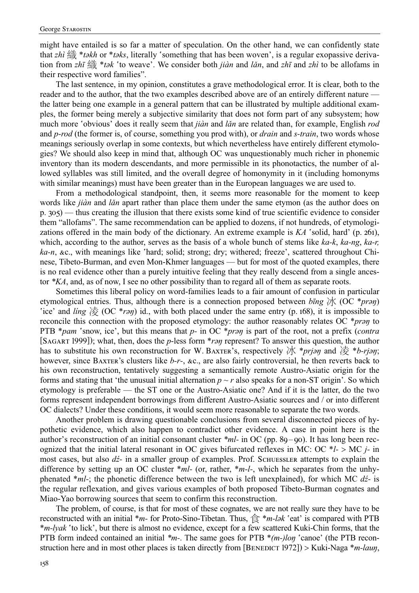might have entailed is so far a matter of speculation. On the other hand, we can confidently state that zhì  $\frac{dx}{dt}$  \*t $\geq k$  or \*t $\geq k$ , literally 'something that has been woven', is a regular exopassive derivation from zhī 織 \*tǝk 'to weave'. We consider both jiàn and lǎn, and zhī and zhì to be allofams in their respective word families".

The last sentence, in my opinion, constitutes a grave methodological error. It is clear, both to the reader and to the author, that the two examples described above are of an entirely different nature the latter being one example in a general pattern that can be illustrated by multiple additional examples, the former being merely a subjective similarity that does not form part of any subsystem; how much more 'obvious' does it really seem that *jiàn* and *lǎn* are related than, for example, English rod and p-rod (the former is, of course, something you prod with), or *drain* and s-train, two words whose meanings seriously overlap in some contexts, but which nevertheless have entirely different etymologies? We should also keep in mind that, although OC was unquestionably much richer in phonemic inventory than its modern descendants, and more permissible in its phonotactics, the number of allowed syllables was still limited, and the overall degree of homonymity in it (including homonyms with similar meanings) must have been greater than in the European languages we are used to.

From a methodological standpoint, then, it seems more reasonable for the moment to keep words like *jiàn* and *lǎn* apart rather than place them under the same etymon (as the author does on p. 305) — thus creating the illusion that there exists some kind of true scientific evidence to consider them "allofams". The same recommendation can be applied to dozens, if not hundreds, of etymologizations offered in the main body of the dictionary. An extreme example is  $KA$  'solid, hard' (p. 261), which, according to the author, serves as the basis of a whole bunch of stems like ka-k, ka-ng, ka-r,  $ka-n$ , &c., with meanings like 'hard; solid; strong; dry; withered; freeze', scattered throughout Chinese, Tibeto-Burman, and even Mon-Khmer languages — but for most of the quoted examples, there is no real evidence other than a purely intuitive feeling that they really descend from a single ancestor \*KA, and, as of now, I see no other possibility than to regard all of them as separate roots.

Sometimes this liberal policy on word-families leads to a fair amount of confusion in particular etymological entries. Thus, although there is a connection proposed between bing  $\partial K$  (OC \*pran) 'ice' and *ling*  $\frac{1}{Q}$  (OC \*ray) id., with both placed under the same entry (p. 168), it is impossible to reconcile this connection with the proposed etymology: the author reasonably relates OC  $*_{pr\partial\eta}$  to PTB  $**pam* 'snow, ice', but this means that *p*- in OC  $**prən*$  is part of the root, not a prefix (contra$ [SAGART 1999]); what, then, does the p-less form  $*_{r\partial\eta}$  represent? To answer this question, the author has to substitute his own reconstruction for W. BAXTER's, respectively  $\partial K^*$ prj $\partial \eta$  and  $\partial \phi^*$  \*b-rj $\partial \eta$ ; however, since BAXTER's clusters like b-r-, &c., are also fairly controversial, he then reverts back to his own reconstruction, tentatively suggesting a semantically remote Austro-Asiatic origin for the forms and stating that 'the unusual initial alternation  $p \sim r$  also speaks for a non-ST origin'. So which etymology is preferable — the ST one or the Austro-Asiatic one? And if it is the latter, do the two forms represent independent borrowings from different Austro-Asiatic sources and / or into different OC dialects? Under these conditions, it would seem more reasonable to separate the two words.

Another problem is drawing questionable conclusions from several disconnected pieces of hypothetic evidence, which also happen to contradict other evidence. A case in point here is the author's reconstruction of an initial consonant cluster  $*ml$ - in OC (pp. 89–90). It has long been recognized that the initial lateral resonant in OC gives bifurcated reflexes in MC: OC  $L > MC$  j- in most cases, but also  $d\vec{z}$ - in a smaller group of examples. Prof. SCHUESSLER attempts to explain the difference by setting up an OC cluster  $*ml$ - (or, rather,  $*ml$ -l-, which he separates from the unhyphenated  $*ml$ -; the phonetic difference between the two is left unexplained), for which MC  $d\dot{z}$ - is the regular reflexation, and gives various examples of both proposed Tibeto-Burman cognates and Miao-Yao borrowing sources that seem to confirm this reconstruction.

The problem, of course, is that for most of these cognates, we are not really sure they have to be reconstructed with an initial \*m- for Proto-Sino-Tibetan. Thus,  $\hat{\oplus}$  \*m-lak 'eat' is compared with PTB \*m-lyak 'to lick', but there is almost no evidence, except for a few scattered Kuki-Chin forms, that the PTB form indeed contained an initial  $*_{m}$ . The same goes for PTB  $*(m-)$ lon 'canoe' (the PTB reconstruction here and in most other places is taken directly from [BENEDICT 1972]) > Kuki-Naga \*m-laun,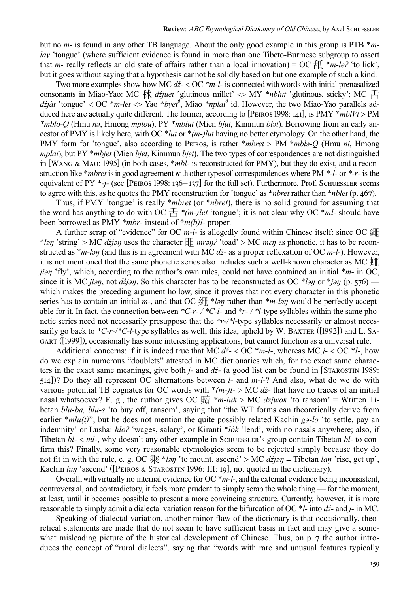but no  $m$ - is found in any other TB language. About the only good example in this group is PTB  $*_{m}$ lay 'tongue' (where sufficient evidence is found in more than one Tibeto-Burmese subgroup to assert that *m*- really reflects an old state of affairs rather than a local innovation) = OC  $\frac{1}{m}$  \**m-le*? 'to lick', but it goes without saying that a hypothesis cannot be solidly based on but one example of such a kind.

Two more examples show how MC  $d\zeta <$  OC \*m-l- is connected with words with initial prenasalized consonants in Miao-Yao: MC  $\frac{1}{W}$  dzjuet 'glutinous millet'  $\Diamond$  MY \*nblut 'glutinous, sticky'; MC  $\pm$ dźjät 'tongue' < OC \*m-let  $\leq$  Yao \*byet<sup>6</sup>, Miao \*nplat<sup>6</sup> id. However, the two Miao-Yao parallels adduced here are actually quite different. The former, according to [PEIROS 1998: 141], is PMY  $*mbIV \geq PM$ \*mblo-Q (Hmu na, Hmong mplou), PY \*mblut (Mien bjut, Kimmun blat). Borrowing from an early ancestor of PMY is likely here, with OC \*lut or \*(m-)lut having no better etymology. On the other hand, the PMY form for 'tongue', also according to PEIROS, is rather  $*mbret > PM *mbla-O$  (Hmu *ni*, Hmong mplai), but PY \**mbjet* (Mien *bjet*, Kimmun *bjet*). The two types of correspondences are not distinguished in [WANG & MAO: 1995] (in both cases,  $*mbl$ - is reconstructed for PMY), but they do exist, and a reconstruction like \**mbret* is in good agreement with other types of correspondences where PM \*-l- or \*-r- is the equivalent of PY  $*_{-i}$ - (see [PEIROS 1998: 136–137] for the full set). Furthermore, Prof. SCHUESSLER seems to agree with this, as he quotes the PMY reconstruction for 'tongue' as \**nbret* rather than \**nblet* (p. 467).

Thus, if PMY 'tongue' is really \**mbret* (or \**nbret*), there is no solid ground for assuming that the word has anything to do with OC  $\pm$  \*(*m*-)let 'tongue'; it is not clear why OC \**ml*- should have been borrowed as PMY  $**mbr*$ - instead of  $**m(b)*l$ - proper.

A further scrap of "evidence" for OC  $m-l$ - is allegedly found within Chinese itself: since OC  $\frac{d}{dt}$ \*lǝŋ 'string' > MC dźjǝŋ uses the character  $\mathbb{H}$  mrǝŋ $^2$  'toad' > MC mɛŋ as phonetic, it has to be reconstructed as  $*_{m-l \partial \eta}$  (and this is in agreement with MC dź- as a proper reflexation of OC m-l-). However, it is not mentioned that the same phonetic series also includes such a well-known character as MC 蠅 jian 'fly', which, according to the author's own rules, could not have contained an initial  $\ast_{m}$ - in OC, since it is MC *jian*, not *dźjan*. So this character has to be reconstructed as OC \**lan* or \**jan* (p. 576) which makes the preceding argument hollow, since it proves that not every character in this phonetic series has to contain an initial m-, and that OC  $\frac{d}{dt}$  \*l*an* rather than \**m-lan* would be perfectly acceptable for it. In fact, the connection between  $*C-r-$  /  $*C-l$ - and  $*_r$ - /  $*l$ -type syllables within the same phonetic series need not necessarily presuppose that the \*r-/\*l-type syllables necessarily or almost necessarily go back to  ${}^*C$ -r-/ ${}^*C$ -l-type syllables as well; this idea, upheld by W. BAXTER ([1992]) and L. SAgart ([1999]), occasionally has some interesting applications, but cannot function as a universal rule.

Additional concerns: if it is indeed true that MC  $d\acute{z}$ - $\langle$  OC \*m-l-, whereas MC j- $\langle$  OC \*l-, how do we explain numerous "doublets" attested in MC dictionaries which, for the exact same characters in the exact same meanings, give both  $j$ - and  $dz$ - (a good list can be found in [STAROSTIN 1989: 514])? Do they all represent OC alternations between  $l$ - and  $m-l$ -? And also, what do we do with various potential TB cognates for OC words with  $*(m-)l$ ->MC dź- that have no traces of an initial nasal whatsoever? E. g., the author gives OC 贖 \*m-luk > MC dźjwok 'to ransom' = Written Tibetan blu-ba, blu-s 'to buy off, ransom', saying that "the WT forms can theoretically derive from earlier \*mlu(t)"; but he does not mention the quite possibly related Kachin ga-lo 'to settle, pay an indemnity' or Lushai hlo? 'wages, salary', or Kiranti \*lòk 'lend', with no nasals anywhere; also, if Tibetan  $bl - \langle ml -$ , why doesn't any other example in SCHUESSLER's group contain Tibetan  $bl$ - to confirm this? Finally, some very reasonable etymologies seem to be rejected simply because they do not fit in with the rule, e. g. OC  $\overline{R}$  \*l*an* 'to mount, ascend' > MC *dźjan* = Tibetan lan 'rise, get up', Kachin lun 'ascend' ([PEIROS & STAROSTIN 1996: III: 19], not quoted in the dictionary).

Overall, with virtually no internal evidence for OC  $*_{m-l}$ , and the external evidence being inconsistent, controversial, and contradictory, it feels more prudent to simply scrap the whole thing — for the moment, at least, until it becomes possible to present a more convincing structure. Currently, however, it is more reasonable to simply admit a dialectal variation reason for the bifurcation of OC  $*l$ - into dź- and j- in MC.

Speaking of dialectal variation, another minor flaw of the dictionary is that occasionally, theoretical statements are made that do not seem to have sufficient basis in fact and may give a somewhat misleading picture of the historical development of Chinese. Thus, on p. 7 the author introduces the concept of "rural dialects", saying that "words with rare and unusual features typically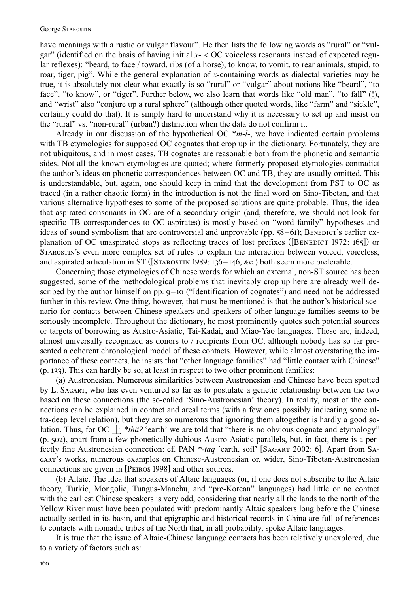have meanings with a rustic or vulgar flavour". He then lists the following words as "rural" or "vulgar" (identified on the basis of having initial  $x - 0C$  voiceless resonants instead of expected regular reflexes): "beard, to face / toward, ribs (of a horse), to know, to vomit, to rear animals, stupid, to roar, tiger, pig". While the general explanation of x-containing words as dialectal varieties may be true, it is absolutely not clear what exactly is so "rural" or "vulgar" about notions like "beard", "to face", "to know", or "tiger". Further below, we also learn that words like "old man", "to fall" (!), and "wrist" also "conjure up a rural sphere" (although other quoted words, like "farm" and "sickle", certainly could do that). It is simply hard to understand why it is necessary to set up and insist on the "rural" vs. "non-rural" (urban?) distinction when the data do not confirm it.

Already in our discussion of the hypothetical OC  $*_{m-l}$ , we have indicated certain problems with TB etymologies for supposed OC cognates that crop up in the dictionary. Fortunately, they are not ubiquitous, and in most cases, TB cognates are reasonable both from the phonetic and semantic sides. Not all the known etymologies are quoted; where formerly proposed etymologies contradict the author's ideas on phonetic correspondences between OC and TB, they are usually omitted. This is understandable, but, again, one should keep in mind that the development from PST to OC as traced (in a rather chaotic form) in the introduction is not the final word on Sino-Tibetan, and that various alternative hypotheses to some of the proposed solutions are quite probable. Thus, the idea that aspirated consonants in OC are of a secondary origin (and, therefore, we should not look for specific TB correspondences to OC aspirates) is mostly based on "word family" hypotheses and ideas of sound symbolism that are controversial and unprovable (pp.  $58-61$ ); BENEDICT's earlier explanation of OC unaspirated stops as reflecting traces of lost prefixes ([BENEDICT 1972: 165]) or Starostin's even more complex set of rules to explain the interaction between voiced, voiceless, and aspirated articulation in ST ( $[STAROSTIN 1989: 136–146, \&c.)$  both seem more preferable.

Concerning those etymologies of Chinese words for which an external, non-ST source has been suggested, some of the methodological problems that inevitably crop up here are already well described by the author himself on pp.  $9-10$  ("Identification of cognates") and need not be addressed further in this review. One thing, however, that must be mentioned is that the author's historical scenario for contacts between Chinese speakers and speakers of other language families seems to be seriously incomplete. Throughout the dictionary, he most prominently quotes such potential sources or targets of borrowing as Austro-Asiatic, Tai-Kadai, and Miao-Yao languages. These are, indeed, almost universally recognized as donors to / recipients from OC, although nobody has so far presented a coherent chronological model of these contacts. However, while almost overstating the importance of these contacts, he insists that "other language families" had "little contact with Chinese" (p. 133). This can hardly be so, at least in respect to two other prominent families:

(a) Austronesian. Numerous similarities between Austronesian and Chinese have been spotted by L. Sagart, who has even ventured so far as to postulate a genetic relationship between the two based on these connections (the so-called 'Sino-Austronesian' theory). In reality, most of the connections can be explained in contact and areal terms (with a few ones possibly indicating some ultra-deep level relation), but they are so numerous that ignoring them altogether is hardly a good solution. Thus, for  $OC + *th\hat{a}$  'earth' we are told that "there is no obvious cognate and etymology" (p. 502), apart from a few phonetically dubious Austro-Asiatic parallels, but, in fact, there is a perfectly fine Austronesian connection: cf. PAN \*-taq 'earth, soil' [Sagart 2002: 6]. Apart from Sagart's works, numerous examples on Chinese-Austronesian or, wider, Sino-Tibetan-Austronesian connections are given in [Peiros 1998] and other sources.

(b) Altaic. The idea that speakers of Altaic languages (or, if one does not subscribe to the Altaic theory, Turkic, Mongolic, Tungus-Manchu, and "pre-Korean" languages) had little or no contact with the earliest Chinese speakers is very odd, considering that nearly all the lands to the north of the Yellow River must have been populated with predominantly Altaic speakers long before the Chinese actually settled in its basin, and that epigraphic and historical records in China are full of references to contacts with nomadic tribes of the North that, in all probability, spoke Altaic languages.

It is true that the issue of Altaic-Chinese language contacts has been relatively unexplored, due to a variety of factors such as: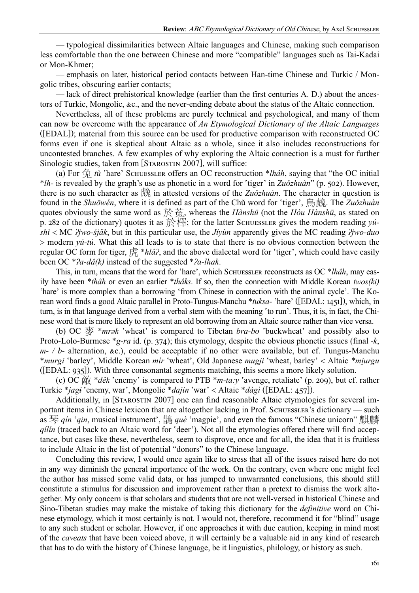— typological dissimilarities between Altaic languages and Chinese, making such comparison less comfortable than the one between Chinese and more "compatible" languages such as Tai-Kadai or Mon-Khmer;

— emphasis on later, historical period contacts between Han-time Chinese and Turkic / Mongolic tribes, obscuring earlier contacts;

— lack of direct prehistorical knowledge (earlier than the first centuries A. D.) about the ancestors of Turkic, Mongolic, ¤c., and the never-ending debate about the status of the Altaic connection.

Nevertheless, all of these problems are purely technical and psychological, and many of them can now be overcome with the appearance of An Etymological Dictionary of the Altaic Languages ([EDAL]); material from this source can be used for productive comparison with reconstructed OC forms even if one is skeptical about Altaic as a whole, since it also includes reconstructions for uncontested branches. A few examples of why exploring the Altaic connection is a must for further Sinologic studies, taken from [STAROSTIN 2007], will suffice:

(a) For  $\oint$  tù 'hare' SCHUESSLER offers an OC reconstruction \*lhâh, saying that "the OC initial  $*lh$ - is revealed by the graph's use as phonetic in a word for 'tiger' in Zuŏzhuàn" (p. 502). However, there is no such character as  $\frac{m}{k}$  in attested versions of the Zuŏzhuàn. The character in question is found in the *Shuōwén*, where it is defined as part of the Chǔ word for 'tiger',  $\frac{1}{10}$ . The Zuǒzhuàn quotes obviously the same word as  $\dot{\mathbb{R}}^k$ , whereas the Hànshū (not the Hòu Hànshū, as stated on p. 282 of the dictionary) quotes it as 於檡; for the latter Sснить gives the modern reading  $y\dot{u}$  $shi < MC$  *i* $i$ *ko-sijäk*, but in this particular use, the *Jivun* apparently gives the MC reading *iywo-duo*  $>$  modern  $y\acute{u}$ -tú. What this all leads to is to state that there is no obvious connection between the regular OC form for tiger, 虎 \*hlâ?, and the above dialectal word for 'tiger', which could have easily been OC  $*2a-d\hat{a}(k)$  instead of the suggested  $*2a$ -lhak.

This, in turn, means that the word for 'hare', which Schuessler reconstructs as OC \*lhâh, may easily have been \*thâh or even an earlier \*thâks. If so, then the connection with Middle Korean twos(ki) 'hare' is more complex than a borrowing 'from Chinese in connection with the animal cycle'. The Korean word finds a good Altaic parallel in Proto-Tungus-Manchu \*tuksa- 'hare' ([EDAL: 1451]), which, in turn, is in that language derived from a verbal stem with the meaning 'to run'. Thus, it is, in fact, the Chinese word that is more likely to represent an old borrowing from an Altaic source rather than vice versa.

(b) OC  $\mathcal{F}$  \**mrak* 'wheat' is compared to Tibetan *bra-bo* 'buckwheat' and possibly also to Proto-Lolo-Burmese  $*_g$ -ra id. (p. 374); this etymology, despite the obvious phonetic issues (final -k,  $m-$  / b- alternation, &c.), could be acceptable if no other were available, but cf. Tungus-Manchu \*murgi 'barley', Middle Korean mír 'wheat', Old Japanese mugji 'wheat, barley' < Altaic \*miurgu ([EDAL: 935]). With three consonantal segments matching, this seems a more likely solution.

(c) OC  $\frac{2}{3}$  \*dêk 'enemy' is compared to PTB \*m-ta:y 'avenge, retaliate' (p. 209), but cf. rather Turkic \*jagɨ 'enemy, war', Mongolic \*dajin 'war' < Altaic \*dàgì ([EDAL: 457]).

Additionally, in [STAROSTIN 2007] one can find reasonable Altaic etymologies for several important items in Chinese lexicon that are altogether lacking in Prof. SCHUESSLER's dictionary — such as  $\frac{1}{25}$  qin 'qin, musical instrument', 鵲 què 'magpie', and even the famous "Chinese unicorn" 麒麟 qilin (traced back to an Altaic word for 'deer'). Not all the etymologies offered there will find acceptance, but cases like these, nevertheless, seem to disprove, once and for all, the idea that it is fruitless to include Altaic in the list of potential "donors" to the Chinese language.

Concluding this review, I would once again like to stress that all of the issues raised here do not in any way diminish the general importance of the work. On the contrary, even where one might feel the author has missed some valid data, or has jumped to unwarranted conclusions, this should still constitute a stimulus for discussion and improvement rather than a pretext to dismiss the work altogether. My only concern is that scholars and students that are not well-versed in historical Chinese and Sino-Tibetan studies may make the mistake of taking this dictionary for the definitive word on Chinese etymology, which it most certainly is not. I would not, therefore, recommend it for "blind" usage to any such student or scholar. However, if one approaches it with due caution, keeping in mind most of the caveats that have been voiced above, it will certainly be a valuable aid in any kind of research that has to do with the history of Chinese language, be it linguistics, philology, or history as such.